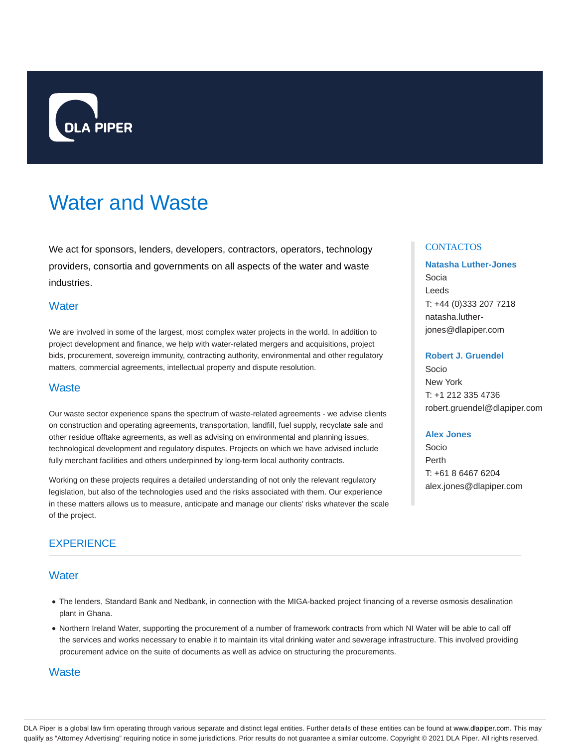

# Water and Waste

We act for sponsors, lenders, developers, contractors, operators, technology providers, consortia and governments on all aspects of the water and waste industries.

# **Water**

We are involved in some of the largest, most complex water projects in the world. In addition to project development and finance, we help with water-related mergers and acquisitions, project bids, procurement, sovereign immunity, contracting authority, environmental and other regulatory matters, commercial agreements, intellectual property and dispute resolution.

## **Waste**

Our waste sector experience spans the spectrum of waste-related agreements - we advise clients on construction and operating agreements, transportation, landfill, fuel supply, recyclate sale and other residue offtake agreements, as well as advising on environmental and planning issues, technological development and regulatory disputes. Projects on which we have advised include fully merchant facilities and others underpinned by long-term local authority contracts.

Working on these projects requires a detailed understanding of not only the relevant regulatory legislation, but also of the technologies used and the risks associated with them. Our experience in these matters allows us to measure, anticipate and manage our clients' risks whatever the scale of the project.

## **EXPERIENCE**

## **Water**

- The lenders, Standard Bank and Nedbank, in connection with the MIGA-backed project financing of a reverse osmosis desalination plant in Ghana.
- Northern Ireland Water, supporting the procurement of a number of framework contracts from which NI Water will be able to call off the services and works necessary to enable it to maintain its vital drinking water and sewerage infrastructure. This involved providing procurement advice on the suite of documents as well as advice on structuring the procurements.

### **Waste**

#### **CONTACTOS**

# **Natasha Luther-Jones** Socia Leeds T: +44 (0)333 207 7218 natasha.lutherjones@dlapiper.com

#### **Robert J. Gruendel**

Socio New York T: +1 212 335 4736 robert.gruendel@dlapiper.com

#### **Alex Jones**

Socio Perth T: +61 8 6467 6204 alex.jones@dlapiper.com

DLA Piper is a global law firm operating through various separate and distinct legal entities. Further details of these entities can be found at www.dlapiper.com. This may qualify as "Attorney Advertising" requiring notice in some jurisdictions. Prior results do not guarantee a similar outcome. Copyright @ 2021 DLA Piper. All rights reserved.